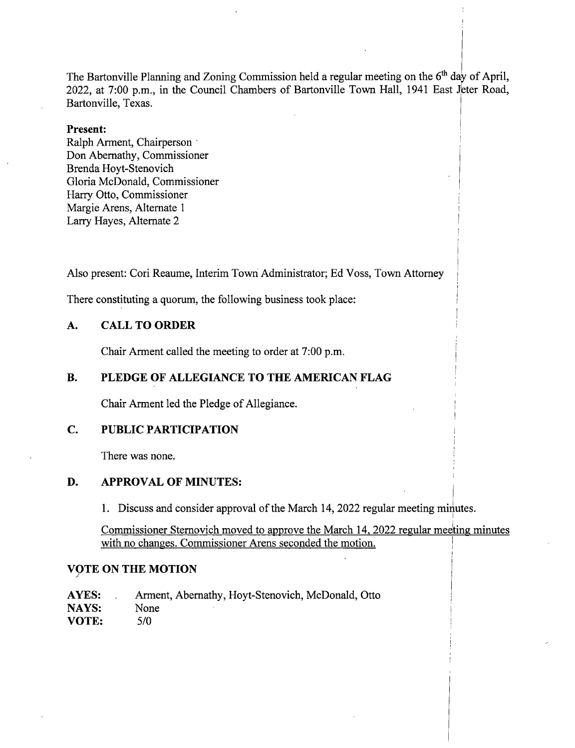The Bartonville Planning and Zoning Commission held a regular meeting on the  $6<sup>th</sup>$  day of April, 2022, at 7:00 p.m., in the Council Chambers of Bartonville Town Hall, 1941 East Jeter Road, Bartonville, Texas.

## Present:

Ralph Arment, Chairperson Don Abernathy, Commissioner Brenda Hoyt-Stenovich Gloria McDonald, Commissioner Harry Otto, Commissioner Margie Arens, Alternate <sup>1</sup> Larry Hayes, Alternate 2

Also present: Cori Reaume, Interim Town Administrator; Ed Voss, Town Attorney

There constituting a quorum, the following business took place:

## A. CALL TO ORDER

Chair Arment called the meeting to order at 7:00 p.m.

## B. PLEDGE OF ALLEGIANCE TO THE AMERICAN FLAG

Chair Arment led the Pledge of Allegiance.

# C. PUBLIC PARTICIPATION

There was none.

### D. APPROVAL OF MINUTES:

1. Discuss and consider approval of the March 14, 2022 regular meeting minutes.

Commissioner Sternovich moved to approve the March 14, 2022 regular meeting minutes with no changes. Commissioner Arens seconded the motion.

## VOTE ON THE MOTION

AYES: Arment, Abernathy, Hoyt-Stenovich, McDonald, Otto<br>NAYS: None NAYS: **VOTE:** 5/0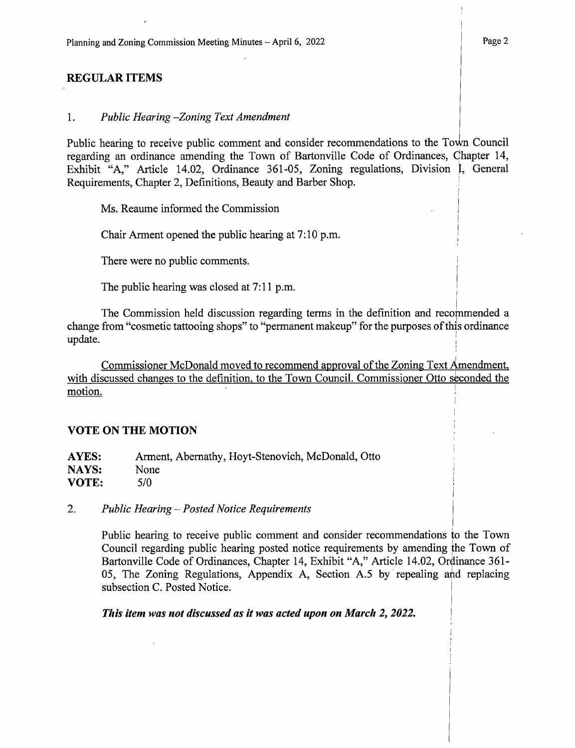# REGULAR ITEMS

#### 1. Public Hearing—Zoning Text Amendment

Public hearing to receive public comment and consider recommendations to the Town Council regarding an ordinance amending the Town of Bartonville Code of Ordinances, Chapter 14, Exhibit "A," Article 14.02, Ordinance 361-05, Zoning regulations, Division I, General Requirements, Chapter 2, Definitions, Beauty and Barber Shop.

Ms. Reaume informed the Commission

Chair Arment opened the public hearing at 7: 10 p.m.

There were no public comments.

The public hearing was closed at 7:11 p.m.

The Commission held discussion regarding terms in the definition and recommended a change from "cosmetic tattooing shops" to "permanent makeup" for the purposes of this ordinance update.

Commissioner McDonald moved to recommend approval of the Zoning Text Amendment, with discussed changes to the definition, to the Town Council. Commissioner Otto seconded the motion.

#### VOTE ON THE MOTION

| <b>AYES:</b> | Arment, Abernathy, Hoyt-Stenovich, McDonald, Otto |
|--------------|---------------------------------------------------|
| NAYS:        | <b>None</b>                                       |
| <b>VOTE:</b> | 5/0                                               |

## 2. Public Hearing— Posted Notice Requirements

Public hearing to receive public comment and consider recommendations to the Town Council regarding public hearing posted notice requirements by amending he Town of Bartonville Code of Ordinances, Chapter 14, Exhibit "A," Article 14.02, Ordinance 361-05, The Zoning Regulations, Appendix A, Section A.5 by repealing and replacing subsection C. Posted Notice.

This item was not discussed as it was acted upon on March 2, 2022.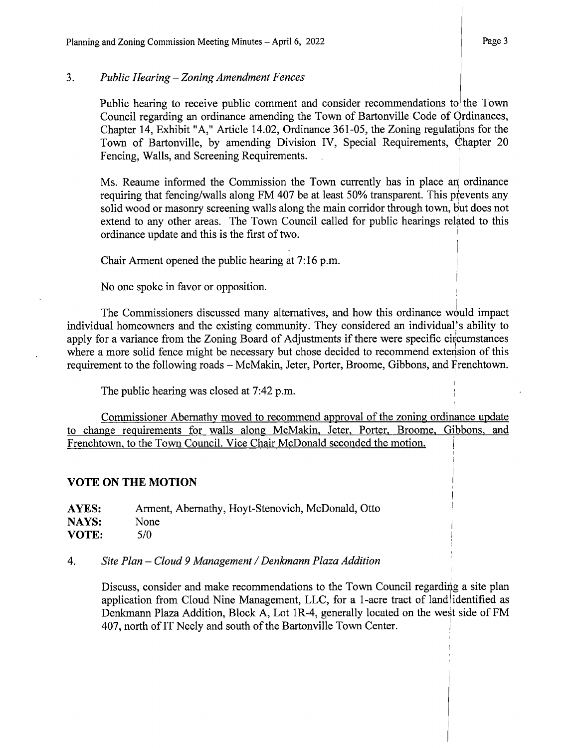Public hearing to receive public comment and consider recommendations to the Town Council regarding an ordinance amending the Town of Bartonville Code of Ordinances, Chapter 14, Exhibit "A," Article 14.02, Ordinance 361-05, the Zoning regulations for the Town of Bartonville, by amending Division IV, Special Requirements, Chapter <sup>20</sup> Fencing, Walls, and Screening Requirements.

Ms. Reaume informed the Commission the Town currently has in place an ordinance requiring that fencing/ walls along FM 407 be at least 50% transparent. This prevents any solid wood or masonry screening walls along the main corridor through town, but does not extend to any other areas. The Town Council called for public hearings related to this ordinance update and this is the first of two.

Chair Arment opened the public hearing at 7: 16 p.m.

No one spoke in favor or opposition.

The Commissioners discussed many alternatives, and how this ordinance would impact individual homeowners and the existing community. They considered an individual's ability to apply for <sup>a</sup> variance from the Zoning Board of Adjustments if there were specific circumstances where a more solid fence might be necessary but chose decided to recommend extension of this requirement to the following roads— McMakin, Jeter, Porter, Broome, Gibbons, and Frenchtown.

The public hearing was closed at 7:42 p.m.

Commissioner Abernathy moved to recommend approval of the zoning ordinance update to change requirements for walls along McMakin, Jeter, Porter, Broome, Gibbons, and Frenchtown, to the Town Council. Vice Chair McDonald seconded the motion.

# VOTE ON THE MOTION

AYES: Arment, Abernathy, Hoyt-Stenovich, McDonald, Otto<br>NAYS: None NAYS:  $VOTE:$   $5/0$ 

## 4. Site Plan— Cloud 9 Management/ Denkmann Plaza Addition

Discuss, consider and make recommendations to the Town Council regarding a site plan application from Cloud Nine Management, LLC, for a 1-acre tract of land identified as Denkmann Plaza Addition, Block A, Lot 1R-4, generally located on the west side of FM 407, north of IT Neely and south of the Bartonville Town Center.